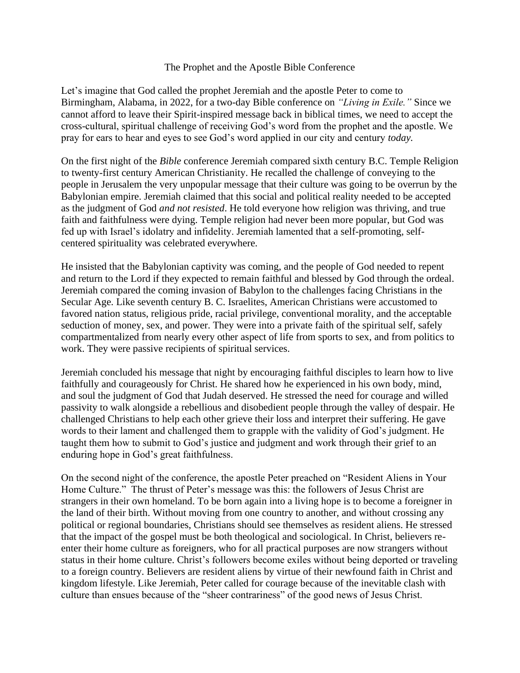## The Prophet and the Apostle Bible Conference

Let's imagine that God called the prophet Jeremiah and the apostle Peter to come to Birmingham, Alabama, in 2022, for a two-day Bible conference on *"Living in Exile."* Since we cannot afford to leave their Spirit-inspired message back in biblical times, we need to accept the cross-cultural, spiritual challenge of receiving God's word from the prophet and the apostle. We pray for ears to hear and eyes to see God's word applied in our city and century *today.* 

On the first night of the *Bible* conference Jeremiah compared sixth century B.C. Temple Religion to twenty-first century American Christianity. He recalled the challenge of conveying to the people in Jerusalem the very unpopular message that their culture was going to be overrun by the Babylonian empire. Jeremiah claimed that this social and political reality needed to be accepted as the judgment of God *and not resisted*. He told everyone how religion was thriving, and true faith and faithfulness were dying. Temple religion had never been more popular, but God was fed up with Israel's idolatry and infidelity. Jeremiah lamented that a self-promoting, selfcentered spirituality was celebrated everywhere.

He insisted that the Babylonian captivity was coming, and the people of God needed to repent and return to the Lord if they expected to remain faithful and blessed by God through the ordeal. Jeremiah compared the coming invasion of Babylon to the challenges facing Christians in the Secular Age. Like seventh century B. C. Israelites, American Christians were accustomed to favored nation status, religious pride, racial privilege, conventional morality, and the acceptable seduction of money, sex, and power. They were into a private faith of the spiritual self, safely compartmentalized from nearly every other aspect of life from sports to sex, and from politics to work. They were passive recipients of spiritual services.

Jeremiah concluded his message that night by encouraging faithful disciples to learn how to live faithfully and courageously for Christ. He shared how he experienced in his own body, mind, and soul the judgment of God that Judah deserved. He stressed the need for courage and willed passivity to walk alongside a rebellious and disobedient people through the valley of despair. He challenged Christians to help each other grieve their loss and interpret their suffering. He gave words to their lament and challenged them to grapple with the validity of God's judgment. He taught them how to submit to God's justice and judgment and work through their grief to an enduring hope in God's great faithfulness.

On the second night of the conference, the apostle Peter preached on "Resident Aliens in Your Home Culture." The thrust of Peter's message was this: the followers of Jesus Christ are strangers in their own homeland. To be born again into a living hope is to become a foreigner in the land of their birth. Without moving from one country to another, and without crossing any political or regional boundaries, Christians should see themselves as resident aliens. He stressed that the impact of the gospel must be both theological and sociological. In Christ, believers reenter their home culture as foreigners, who for all practical purposes are now strangers without status in their home culture. Christ's followers become exiles without being deported or traveling to a foreign country. Believers are resident aliens by virtue of their newfound faith in Christ and kingdom lifestyle. Like Jeremiah, Peter called for courage because of the inevitable clash with culture than ensues because of the "sheer contrariness" of the good news of Jesus Christ.